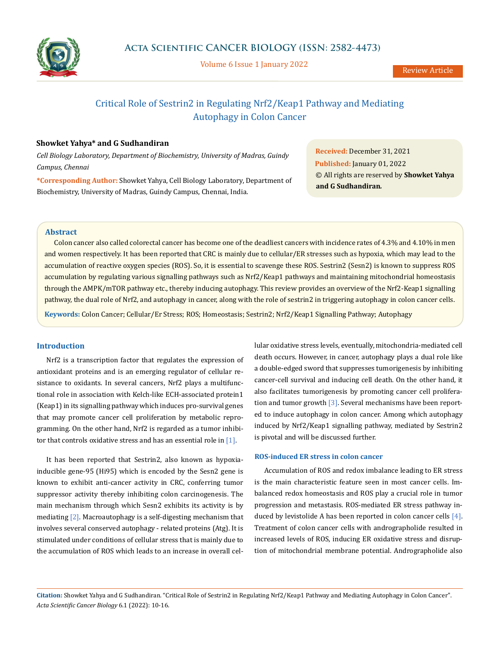

Volume 6 Issue 1 January 2022

# Critical Role of Sestrin2 in Regulating Nrf2/Keap1 Pathway and Mediating Autophagy in Colon Cancer

# **Showket Yahya\* and G Sudhandiran**

*Cell Biology Laboratory, Department of Biochemistry, University of Madras, Guindy Campus, Chennai*

**\*Corresponding Author:** Showket Yahya, Cell Biology Laboratory, Department of Biochemistry, University of Madras, Guindy Campus, Chennai, India.

**Received:** December 31, 2021 **Published:** January 01, 2022 © All rights are reserved by **Showket Yahya and G Sudhandiran***.*

## **Abstract**

Colon cancer also called colorectal cancer has become one of the deadliest cancers with incidence rates of 4.3% and 4.10% in men and women respectively. It has been reported that CRC is mainly due to cellular/ER stresses such as hypoxia, which may lead to the accumulation of reactive oxygen species (ROS). So, it is essential to scavenge these ROS. Sestrin2 (Sesn2) is known to suppress ROS accumulation by regulating various signalling pathways such as Nrf2/Keap1 pathways and maintaining mitochondrial homeostasis through the AMPK/mTOR pathway etc., thereby inducing autophagy. This review provides an overview of the Nrf2-Keap1 signalling pathway, the dual role of Nrf2, and autophagy in cancer, along with the role of sestrin2 in triggering autophagy in colon cancer cells.

**Keywords:** Colon Cancer; Cellular/Er Stress; ROS; Homeostasis; Sestrin2; Nrf2/Keap1 Signalling Pathway; Autophagy

# **Introduction**

Nrf2 is a transcription factor that regulates the expression of antioxidant proteins and is an emerging regulator of cellular resistance to oxidants. In several cancers, Nrf2 plays a multifunctional role in association with Kelch-like ECH-associated protein1 (Keap1) in its signalling pathway which induces pro-survival genes that may promote cancer cell proliferation by metabolic reprogramming. On the other hand, Nrf2 is regarded as a tumor inhibitor that controls oxidative stress and has an essential role in  $[1]$ .

It has been reported that Sestrin2, also known as hypoxiainducible gene-95 (Hi95) which is encoded by the Sesn2 gene is known to exhibit anti-cancer activity in CRC, conferring tumor suppressor activity thereby inhibiting colon carcinogenesis. The main mechanism through which Sesn2 exhibits its activity is by mediating [2]. Macroautophagy is a self-digesting mechanism that involves several conserved autophagy - related proteins (Atg). It is stimulated under conditions of cellular stress that is mainly due to the accumulation of ROS which leads to an increase in overall cellular oxidative stress levels, eventually, mitochondria-mediated cell death occurs. However, in cancer, autophagy plays a dual role like a double-edged sword that suppresses tumorigenesis by inhibiting cancer-cell survival and inducing cell death. On the other hand, it also facilitates tumorigenesis by promoting cancer cell proliferation and tumor growth  $\lceil 3 \rceil$ . Several mechanisms have been reported to induce autophagy in colon cancer. Among which autophagy induced by Nrf2/Keap1 signalling pathway, mediated by Sestrin2 is pivotal and will be discussed further.

#### **ROS-induced ER stress in colon cancer**

Accumulation of ROS and redox imbalance leading to ER stress is the main characteristic feature seen in most cancer cells. Imbalanced redox homeostasis and ROS play a crucial role in tumor progression and metastasis. ROS-mediated ER stress pathway induced by levistolide A has been reported in colon cancer cells [4]. Treatment of colon cancer cells with andrographolide resulted in increased levels of ROS, inducing ER oxidative stress and disruption of mitochondrial membrane potential. Andrographolide also

**Citation:** Showket Yahya and G Sudhandiran*.* "Critical Role of Sestrin2 in Regulating Nrf2/Keap1 Pathway and Mediating Autophagy in Colon Cancer". *Acta Scientific Cancer Biology* 6.1 (2022): 10-16.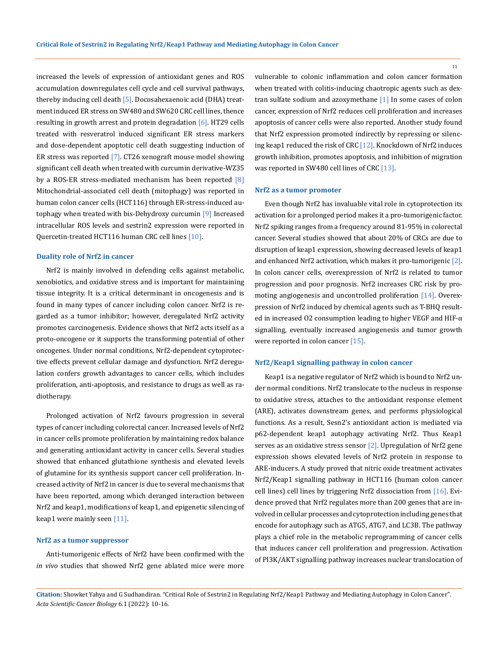increased the levels of expression of antioxidant genes and ROS accumulation downregulates cell cycle and cell survival pathways, thereby inducing cell death [5]. Docosahexaenoic acid (DHA) treatment induced ER stress on SW480 and SW620 CRC cell lines, thence resulting in growth arrest and protein degradation [6]. HT29 cells treated with resveratrol induced significant ER stress markers and dose-dependent apoptotic cell death suggesting induction of ER stress was reported [7]. CT26 xenograft mouse model showing significant cell death when treated with curcumin derivative-WZ35 by a ROS-ER stress-mediated mechanism has been reported [8] Mitochondrial-associated cell death (mitophagy) was reported in human colon cancer cells (HCT116) through ER-stress-induced autophagy when treated with bis-Dehydroxy curcumin [9] Increased intracellular ROS levels and sestrin2 expression were reported in Quercetin-treated HCT116 human CRC cell lines [10].

### **Duality role of Nrf2 in cancer**

Nrf2 is mainly involved in defending cells against metabolic, xenobiotics, and oxidative stress and is important for maintaining tissue integrity. It is a critical determinant in oncogenesis and is found in many types of cancer including colon cancer. Nrf2 is regarded as a tumor inhibitor; however, deregulated Nrf2 activity promotes carcinogenesis. Evidence shows that Nrf2 acts itself as a proto-oncogene or it supports the transforming potential of other oncogenes. Under normal conditions, Nrf2-dependent cytoprotective effects prevent cellular damage and dysfunction. Nrf2 deregulation confers growth advantages to cancer cells, which includes proliferation, anti-apoptosis, and resistance to drugs as well as radiotherapy.

Prolonged activation of Nrf2 favours progression in several types of cancer including colorectal cancer. Increased levels of Nrf2 in cancer cells promote proliferation by maintaining redox balance and generating antioxidant activity in cancer cells. Several studies showed that enhanced glutathione synthesis and elevated levels of glutamine for its synthesis support cancer cell proliferation. Increased activity of Nrf2 in cancer is due to several mechanisms that have been reported, among which deranged interaction between Nrf2 and keap1, modifications of keap1, and epigenetic silencing of keap1 were mainly seen [11].

#### **Nrf2 as a tumor suppressor**

Anti-tumorigenic effects of Nrf2 have been confirmed with the *in vivo* studies that showed Nrf2 gene ablated mice were more vulnerable to colonic inflammation and colon cancer formation when treated with colitis-inducing chaotropic agents such as dextran sulfate sodium and azoxymethane [1] In some cases of colon cancer, expression of Nrf2 reduces cell proliferation and increases apoptosis of cancer cells were also reported. Another study found that Nrf2 expression promoted indirectly by repressing or silencing keap1 reduced the risk of CRC [12]. Knockdown of Nrf2 induces growth inhibition, promotes apoptosis, and inhibition of migration was reported in SW480 cell lines of CRC [13].

#### **Nrf2 as a tumor promoter**

Even though Nrf2 has invaluable vital role in cytoprotection its activation for a prolonged period makes it a pro-tumorigenic factor. Nrf2 spiking ranges from a frequency around 81-95% in colorectal cancer. Several studies showed that about 20% of CRCs are due to disruption of keap1 expression, showing decreased levels of keap1 and enhanced Nrf2 activation, which makes it pro-tumorigenic [2]. In colon cancer cells, overexpression of Nrf2 is related to tumor progression and poor prognosis. Nrf2 increases CRC risk by promoting angiogenesis and uncontrolled proliferation [14]. Overexpression of Nrf2 induced by chemical agents such as T-BHQ resulted in increased O2 consumption leading to higher VEGF and HIF-α signalling, eventually increased angiogenesis and tumor growth were reported in colon cancer [15].

### **Nrf2/Keap1 signalling pathway in colon cancer**

Keap1 is a negative regulator of Nrf2 which is bound to Nrf2 under normal conditions. Nrf2 translocate to the nucleus in response to oxidative stress, attaches to the antioxidant response element (ARE), activates downstream genes, and performs physiological functions. As a result, Sesn2's antioxidant action is mediated via p62-dependent keap1 autophagy activating Nrf2. Thus Keap1 serves as an oxidative stress sensor [2]. Upregulation of Nrf2 gene expression shows elevated levels of Nrf2 protein in response to ARE-inducers. A study proved that nitric oxide treatment activates Nrf2/Keap1 signalling pathway in HCT116 (human colon cancer cell lines) cell lines by triggering Nrf2 dissociation from [16]. Evidence proved that Nrf2 regulates more than 200 genes that are involved in cellular processes and cytoprotection including genes that encode for autophagy such as ATG5, ATG7, and LC3B. The pathway plays a chief role in the metabolic reprogramming of cancer cells that induces cancer cell proliferation and progression. Activation of PI3K/AKT signalling pathway increases nuclear translocation of

**Citation:** Showket Yahya and G Sudhandiran*.* "Critical Role of Sestrin2 in Regulating Nrf2/Keap1 Pathway and Mediating Autophagy in Colon Cancer". *Acta Scientific Cancer Biology* 6.1 (2022): 10-16.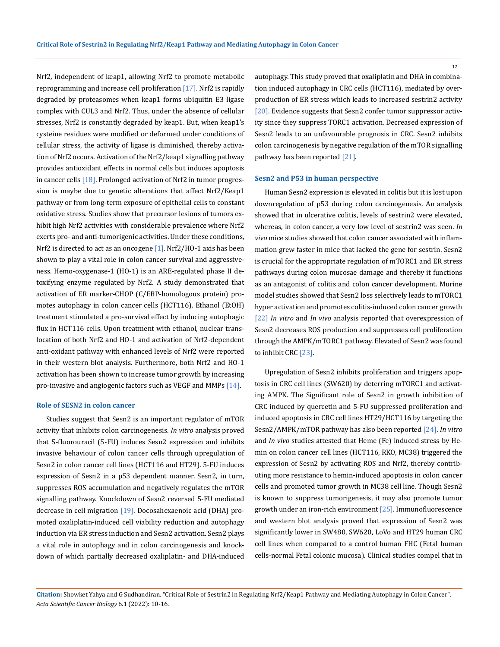Nrf2, independent of keap1, allowing Nrf2 to promote metabolic reprogramming and increase cell proliferation  $[17]$ . Nrf2 is rapidly degraded by proteasomes when keap1 forms ubiquitin E3 ligase complex with CUL3 and Nrf2. Thus, under the absence of cellular stresses, Nrf2 is constantly degraded by keap1. But, when keap1's cysteine residues were modified or deformed under conditions of cellular stress, the activity of ligase is diminished, thereby activation of Nrf2 occurs. Activation of the Nrf2/keap1 signalling pathway provides antioxidant effects in normal cells but induces apoptosis in cancer cells [18]. Prolonged activation of Nrf2 in tumor progression is maybe due to genetic alterations that affect Nrf2/Keap1 pathway or from long-term exposure of epithelial cells to constant oxidative stress. Studies show that precursor lesions of tumors exhibit high Nrf2 activities with considerable prevalence where Nrf2 exerts pro- and anti-tumorigenic activities. Under these conditions, Nrf2 is directed to act as an oncogene  $[1]$ . Nrf2/HO-1 axis has been shown to play a vital role in colon cancer survival and aggressiveness. Hemo-oxygenase-1 (HO-1) is an ARE-regulated phase II detoxifying enzyme regulated by Nrf2. A study demonstrated that activation of ER marker-CHOP (C/EBP-homologous protein) promotes autophagy in colon cancer cells (HCT116). Ethanol (EtOH) treatment stimulated a pro-survival effect by inducing autophagic flux in HCT116 cells. Upon treatment with ethanol, nuclear translocation of both Nrf2 and HO-1 and activation of Nrf2-dependent anti-oxidant pathway with enhanced levels of Nrf2 were reported in their western blot analysis. Furthermore, both Nrf2 and HO-1 activation has been shown to increase tumor growth by increasing pro-invasive and angiogenic factors such as VEGF and MMPs [14].

#### **Role of SESN2 in colon cancer**

Studies suggest that Sesn2 is an important regulator of mTOR activity that inhibits colon carcinogenesis. *In vitro* analysis proved that 5-fluorouracil (5-FU) induces Sesn2 expression and inhibits invasive behaviour of colon cancer cells through upregulation of Sesn2 in colon cancer cell lines (HCT116 and HT29). 5-FU induces expression of Sesn2 in a p53 dependent manner. Sesn2, in turn, suppresses ROS accumulation and negatively regulates the mTOR signalling pathway. Knockdown of Sesn2 reversed 5-FU mediated decrease in cell migration [19]. Docosahexaenoic acid (DHA) promoted oxaliplatin-induced cell viability reduction and autophagy induction via ER stress induction and Sesn2 activation. Sesn2 plays a vital role in autophagy and in colon carcinogenesis and knockdown of which partially decreased oxaliplatin- and DHA-induced

autophagy. This study proved that oxaliplatin and DHA in combination induced autophagy in CRC cells (HCT116), mediated by overproduction of ER stress which leads to increased sestrin2 activity [20]. Evidence suggests that Sesn2 confer tumor suppressor activity since they suppress TORC1 activation. Decreased expression of Sesn2 leads to an unfavourable prognosis in CRC. Sesn2 inhibits colon carcinogenesis by negative regulation of the mTOR signalling pathway has been reported [21].

#### **Sesn2 and P53 in human perspective**

Human Sesn2 expression is elevated in colitis but it is lost upon downregulation of p53 during colon carcinogenesis. An analysis showed that in ulcerative colitis, levels of sestrin2 were elevated, whereas, in colon cancer, a very low level of sestrin2 was seen. *In vivo* mice studies showed that colon cancer associated with inflammation grew faster in mice that lacked the gene for sestrin. Sesn2 is crucial for the appropriate regulation of mTORC1 and ER stress pathways during colon mucosae damage and thereby it functions as an antagonist of colitis and colon cancer development. Murine model studies showed that Sesn2 loss selectively leads to mTORC1 hyper activation and promotes colitis-induced colon cancer growth [22] *In vitro* and *In vivo* analysis reported that overexpression of Sesn2 decreases ROS production and suppresses cell proliferation through the AMPK/mTORC1 pathway. Elevated of Sesn2 was found to inhibit CRC [23].

Upregulation of Sesn2 inhibits proliferation and triggers apoptosis in CRC cell lines (SW620) by deterring mTORC1 and activating AMPK. The Significant role of Sesn2 in growth inhibition of CRC induced by quercetin and 5-FU suppressed proliferation and induced apoptosis in CRC cell lines HT29/HCT116 by targeting the Sesn2/AMPK/mTOR pathway has also been reported [24]. *In vitro* and *In vivo* studies attested that Heme (Fe) induced stress by Hemin on colon cancer cell lines (HCT116, RKO, MC38) triggered the expression of Sesn2 by activating ROS and Nrf2, thereby contributing more resistance to hemin-induced apoptosis in colon cancer cells and promoted tumor growth in MC38 cell line. Though Sesn2 is known to suppress tumorigenesis, it may also promote tumor growth under an iron-rich environment [25]. Immunofluorescence and western blot analysis proved that expression of Sesn2 was significantly lower in SW480, SW620, LoVo and HT29 human CRC cell lines when compared to a control human FHC (Fetal human cells-normal Fetal colonic mucosa). Clinical studies compel that in

**Citation:** Showket Yahya and G Sudhandiran*.* "Critical Role of Sestrin2 in Regulating Nrf2/Keap1 Pathway and Mediating Autophagy in Colon Cancer". *Acta Scientific Cancer Biology* 6.1 (2022): 10-16.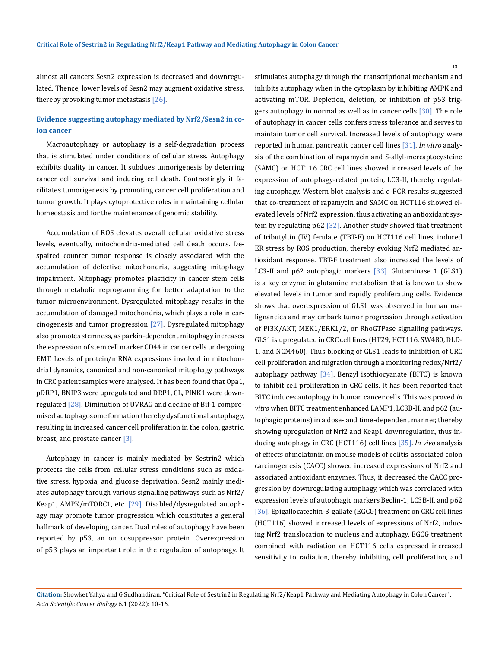almost all cancers Sesn2 expression is decreased and downregulated. Thence, lower levels of Sesn2 may augment oxidative stress, thereby provoking tumor metastasis [26].

# **Evidence suggesting autophagy mediated by Nrf2/Sesn2 in colon cancer**

Macroautophagy or autophagy is a self-degradation process that is stimulated under conditions of cellular stress. Autophagy exhibits duality in cancer. It subdues tumorigenesis by deterring cancer cell survival and inducing cell death. Contrastingly it facilitates tumorigenesis by promoting cancer cell proliferation and tumor growth. It plays cytoprotective roles in maintaining cellular homeostasis and for the maintenance of genomic stability.

Accumulation of ROS elevates overall cellular oxidative stress levels, eventually, mitochondria-mediated cell death occurs. Despaired counter tumor response is closely associated with the accumulation of defective mitochondria, suggesting mitophagy impairment. Mitophagy promotes plasticity in cancer stem cells through metabolic reprogramming for better adaptation to the tumor microenvironment. Dysregulated mitophagy results in the accumulation of damaged mitochondria, which plays a role in carcinogenesis and tumor progression  $[27]$ . Dysregulated mitophagy also promotes stemness, as parkin-dependent mitophagy increases the expression of stem cell marker CD44 in cancer cells undergoing EMT. Levels of protein/mRNA expressions involved in mitochondrial dynamics, canonical and non-canonical mitophagy pathways in CRC patient samples were analysed. It has been found that Opa1, pDRP1, BNIP3 were upregulated and DRP1, CL, PINK1 were downregulated [28]. Diminution of UVRAG and decline of Bif-1 compromised autophagosome formation thereby dysfunctional autophagy, resulting in increased cancer cell proliferation in the colon, gastric, breast, and prostate cancer [3].

Autophagy in cancer is mainly mediated by Sestrin2 which protects the cells from cellular stress conditions such as oxidative stress, hypoxia, and glucose deprivation. Sesn2 mainly mediates autophagy through various signalling pathways such as Nrf2/ Keap1, AMPK/mTORC1, etc. [29]. Disabled/dysregulated autophagy may promote tumor progression which constitutes a general hallmark of developing cancer. Dual roles of autophagy have been reported by p53, an on cosuppressor protein. Overexpression of p53 plays an important role in the regulation of autophagy. It activating mTOR. Depletion, deletion, or inhibition of p53 trig-

gers autophagy in normal as well as in cancer cells [30]. The role of autophagy in cancer cells confers stress tolerance and serves to maintain tumor cell survival. Increased levels of autophagy were reported in human pancreatic cancer cell lines [31]. *In vitro* analysis of the combination of rapamycin and S-allyl-mercaptocysteine (SAMC) on HCT116 CRC cell lines showed increased levels of the expression of autophagy-related protein, LC3-II, thereby regulating autophagy. Western blot analysis and q-PCR results suggested that co-treatment of rapamycin and SAMC on HCT116 showed elevated levels of Nrf2 expression, thus activating an antioxidant system by regulating p62 [32]. Another study showed that treatment of tributyltin (IV) ferulate (TBT-F) on HCT116 cell lines, induced ER stress by ROS production, thereby evoking Nrf2 mediated antioxidant response. TBT-F treatment also increased the levels of LC3-II and p62 autophagic markers [33]. Glutaminase 1 (GLS1) is a key enzyme in glutamine metabolism that is known to show elevated levels in tumor and rapidly proliferating cells. Evidence shows that overexpression of GLS1 was observed in human malignancies and may embark tumor progression through activation of PI3K/AKT, MEK1/ERK1/2, or RhoGTPase signalling pathways. GLS1 is upregulated in CRC cell lines (HT29, HCT116, SW480, DLD-1, and NCM460). Thus blocking of GLS1 leads to inhibition of CRC cell proliferation and migration through a monitoring redox/Nrf2/ autophagy pathway [34]. Benzyl isothiocyanate (BITC) is known to inhibit cell proliferation in CRC cells. It has been reported that BITC induces autophagy in human cancer cells. This was proved *in vitro* when BITC treatment enhanced LAMP1, LC3B-II, and p62 (autophagic proteins) in a dose- and time-dependent manner, thereby showing upregulation of Nrf2 and Keap1 downregulation, thus inducing autophagy in CRC (HCT116) cell lines [35]. *In vivo* analysis of effects of melatonin on mouse models of colitis-associated colon carcinogenesis (CACC) showed increased expressions of Nrf2 and associated antioxidant enzymes. Thus, it decreased the CACC progression by downregulating autophagy, which was correlated with expression levels of autophagic markers Beclin-1, LC3B-II, and p62 [36]. Epigallocatechin-3-gallate (EGCG) treatment on CRC cell lines (HCT116) showed increased levels of expressions of Nrf2, inducing Nrf2 translocation to nucleus and autophagy. EGCG treatment combined with radiation on HCT116 cells expressed increased sensitivity to radiation, thereby inhibiting cell proliferation, and

stimulates autophagy through the transcriptional mechanism and inhibits autophagy when in the cytoplasm by inhibiting AMPK and

**Citation:** Showket Yahya and G Sudhandiran*.* "Critical Role of Sestrin2 in Regulating Nrf2/Keap1 Pathway and Mediating Autophagy in Colon Cancer". *Acta Scientific Cancer Biology* 6.1 (2022): 10-16.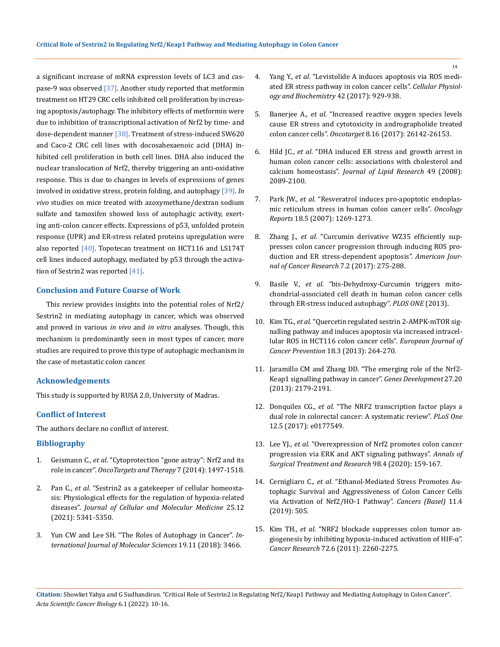a significant increase of mRNA expression levels of LC3 and caspase-9 was observed [37]. Another study reported that metformin treatment on HT29 CRC cells inhibited cell proliferation by increasing apoptosis/autophagy. The inhibitory effects of metformin were due to inhibition of transcriptional activation of Nrf2 by time- and dose-dependent manner [38]. Treatment of stress-induced SW620 and Caco-2 CRC cell lines with docosahexaenoic acid (DHA) inhibited cell proliferation in both cell lines. DHA also induced the nuclear translocation of Nrf2, thereby triggering an anti-oxidative response. This is due to changes in levels of expressions of genes involved in oxidative stress, protein folding, and autophagy [39]. *In vivo* studies on mice treated with azoxymethane/dextran sodium sulfate and tamoxifen showed loss of autophagic activity, exerting anti-colon cancer effects. Expressions of p53, unfolded protein response (UPR) and ER-stress related proteins upregulation were also reported  $[40]$ . Topotecan treatment on HCT116 and LS174T cell lines induced autophagy, mediated by p53 through the activation of Sestrin2 was reported [41].

#### **Conclusion and Future Course of Work**

This review provides insights into the potential roles of Nrf2/ Sestrin2 in mediating autophagy in cancer, which was observed and proved in various *in vivo* and *in vitro* analyses. Though, this mechanism is predominantly seen in most types of cancer, more studies are required to prove this type of autophagic mechanism in the case of metastatic colon cancer.

### **Acknowledgements**

This study is supported by RUSA 2.0, University of Madras.

#### **Conflict of Interest**

The authors declare no conflict of interest.

### **Bibliography**

- 1. Geismann C., *et al*[. "Cytoprotection "gone astray": Nrf2 and its](https://pubmed.ncbi.nlm.nih.gov/25210464/)  role in cancer". *[OncoTargets and Therapy](https://pubmed.ncbi.nlm.nih.gov/25210464/)* 7 (2014): 1497-1518.
- 2. Pan C., *et al*[. "Sestrin2 as a gatekeeper of cellular homeosta](https://pubmed.ncbi.nlm.nih.gov/33942488/)[sis: Physiological effects for the regulation of hypoxia-related](https://pubmed.ncbi.nlm.nih.gov/33942488/)  diseases". *[Journal of Cellular and Molecular Medicine](https://pubmed.ncbi.nlm.nih.gov/33942488/)* 25.12 [\(2021\): 5341-5350.](https://pubmed.ncbi.nlm.nih.gov/33942488/)
- 3. [Yun CW and Lee SH. "The Roles of Autophagy in Cancer".](https://www.ncbi.nlm.nih.gov/pmc/articles/PMC6274804/) *In[ternational Journal of Molecular Sciences](https://www.ncbi.nlm.nih.gov/pmc/articles/PMC6274804/)* 19.11 (2018): 3466.
- 4. Yang Y., *et al*[. "Levistolide A induces apoptosis via ROS medi](https://www.karger.com/Article/FullText/478647?id=pmid:w.ncbi.nlm.nih.gov/pubmed/26188905)[ated ER stress pathway in colon cancer cells".](https://www.karger.com/Article/FullText/478647?id=pmid:w.ncbi.nlm.nih.gov/pubmed/26188905) *Cellular Physiol[ogy and Biochemistry](https://www.karger.com/Article/FullText/478647?id=pmid:w.ncbi.nlm.nih.gov/pubmed/26188905)* 42 (2017): 929-938.
- 5. Banerjee A., *et al*[. "Increased reactive oxygen species levels](https://www.oncotarget.com/article/15393/text/)  [cause ER stress and cytotoxicity in andrographolide treated](https://www.oncotarget.com/article/15393/text/)  colon cancer cells". *Oncotarget* [8.16 \(2017\): 26142-26153.](https://www.oncotarget.com/article/15393/text/)
- 6. Hild JC., *et al*[. "DHA induced ER stress and growth arrest in](https://pubmed.ncbi.nlm.nih.gov/18566476/)  [human colon cancer cells: associations with cholesterol and](https://pubmed.ncbi.nlm.nih.gov/18566476/)  calcium homeostasis". *[Journal of Lipid Research](https://pubmed.ncbi.nlm.nih.gov/18566476/)* 49 (2008): [2089-2100.](https://pubmed.ncbi.nlm.nih.gov/18566476/)
- 7. Park JW., *et al*[. "Resveratrol induces pro-apoptotic endoplas](https://pubmed.ncbi.nlm.nih.gov/17914584/)[mic reticulum stress in human colon cancer cells".](https://pubmed.ncbi.nlm.nih.gov/17914584/) *Oncology Reports* [18.5 \(2007\): 1269-1273.](https://pubmed.ncbi.nlm.nih.gov/17914584/)
- 8. Zhang J., *et al*[. "Curcumin derivative WZ35 efficiently sup](https://pubmed.ncbi.nlm.nih.gov/28337376/)[presses colon cancer progression through inducing ROS pro](https://pubmed.ncbi.nlm.nih.gov/28337376/)[duction and ER stress-dependent apoptosis".](https://pubmed.ncbi.nlm.nih.gov/28337376/) *American Jour[nal of Cancer Research](https://pubmed.ncbi.nlm.nih.gov/28337376/)* 7.2 (2017): 275-288.
- 9. Basile V., *et al*[. "bis-Dehydroxy-Curcumin triggers mito](https://journals.plos.org/plosone/article?id=10.1371/journal.pone.0053664)[chondrial-associated cell death in human colon cancer cells](https://journals.plos.org/plosone/article?id=10.1371/journal.pone.0053664)  [through ER-stress induced autophagy".](https://journals.plos.org/plosone/article?id=10.1371/journal.pone.0053664) *PLOS ONE* (2013).
- 10. Kim TG., *et al*[. "Quercetin regulated sestrin 2-AMPK-mTOR sig](https://www.ncbi.nlm.nih.gov/pmc/articles/PMC4189461/)[nalling pathway and induces apoptosis via increased intracel](https://www.ncbi.nlm.nih.gov/pmc/articles/PMC4189461/)[lular ROS in HCT116 colon cancer cells".](https://www.ncbi.nlm.nih.gov/pmc/articles/PMC4189461/) *European Journal of [Cancer Prevention](https://www.ncbi.nlm.nih.gov/pmc/articles/PMC4189461/)* 18.3 (2013): 264-270.
- 11. [Jaramillo CM and Zhang DD. "The emerging role of the Nrf2-](https://pubmed.ncbi.nlm.nih.gov/24142871/) [Keap1 signalling pathway in cancer".](https://pubmed.ncbi.nlm.nih.gov/24142871/) *Genes Development* 27.20 [\(2013\): 2179-2191.](https://pubmed.ncbi.nlm.nih.gov/24142871/)
- 12. Donquiles CG., *et al*[. "The NRF2 transcription factor plays a](https://pubmed.ncbi.nlm.nih.gov/28542357/)  [dual role in colorectal cancer: A systematic review".](https://pubmed.ncbi.nlm.nih.gov/28542357/) *PLoS One* [12.5 \(2017\): e0177549](https://pubmed.ncbi.nlm.nih.gov/28542357/)*.*
- 13. Lee YJ., *et al*[. "Overexpression of Nrf2 promotes colon cancer](https://pubmed.ncbi.nlm.nih.gov/32274363/)  [progression via ERK and AKT signaling pathways".](https://pubmed.ncbi.nlm.nih.gov/32274363/) *Annals of [Surgical Treatment and Research](https://pubmed.ncbi.nlm.nih.gov/32274363/)* 98.4 (2020): 159-167*.*
- 14. Cernigliaro C., *et al*[. "Ethanol-Mediated Stress Promotes Au](https://pubmed.ncbi.nlm.nih.gov/30974805/)[tophagic Survival and Aggressiveness of Colon Cancer Cells](https://pubmed.ncbi.nlm.nih.gov/30974805/)  [via Activation of Nrf2/HO-1 Pathway".](https://pubmed.ncbi.nlm.nih.gov/30974805/) *Cancers (Basel)* 11.4 [\(2019\): 505](https://pubmed.ncbi.nlm.nih.gov/30974805/)*.*
- 15. Kim TH., *et al*[. "NRF2 blockade suppresses colon tumor an](https://pubmed.ncbi.nlm.nih.gov/21278237/)[giogenesis by inhibiting hypoxia-induced activation of HIF-α".](https://pubmed.ncbi.nlm.nih.gov/21278237/)  *Cancer Research* [72.6 \(2011\): 2260-2275](https://pubmed.ncbi.nlm.nih.gov/21278237/)*.*

**Citation:** Showket Yahya and G Sudhandiran*.* "Critical Role of Sestrin2 in Regulating Nrf2/Keap1 Pathway and Mediating Autophagy in Colon Cancer". *Acta Scientific Cancer Biology* 6.1 (2022): 10-16.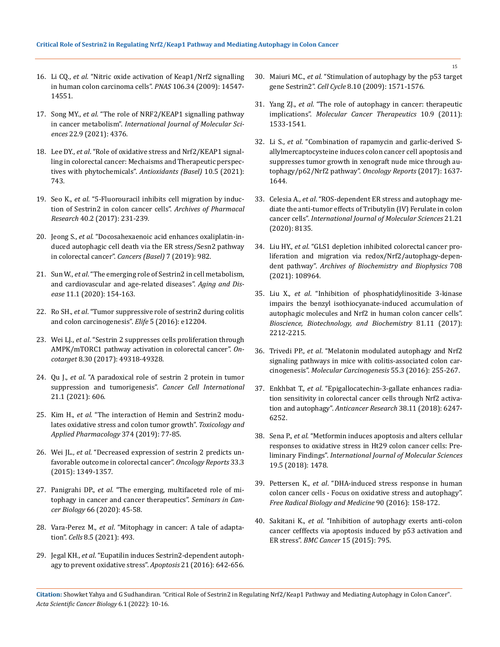- 16. Li CQ., *et al*[. "Nitric oxide activation of Keap1/Nrf2 signalling](https://pubmed.ncbi.nlm.nih.gov/19706542/)  [in human colon carcinoma cells".](https://pubmed.ncbi.nlm.nih.gov/19706542/) *PNAS* 106.34 (2009): 14547- [14551](https://pubmed.ncbi.nlm.nih.gov/19706542/)*.*
- 17. Song MY., *et al*[. "The role of NRF2/KEAP1 signalling pathway](https://pubmed.ncbi.nlm.nih.gov/33922165/)  in cancer metabolism". *[International Journal of Molecular Sci](https://pubmed.ncbi.nlm.nih.gov/33922165/)ences* [22.9 \(2021\): 4376](https://pubmed.ncbi.nlm.nih.gov/33922165/)*.*
- 18. Lee DY., *et al*[. "Role of oxidative stress and Nrf2/KEAP1 signal](https://pubmed.ncbi.nlm.nih.gov/34067204/)[ling in colorectal cancer: Mechaisms and Therapeutic perspec](https://pubmed.ncbi.nlm.nih.gov/34067204/)[tives with phytochemicals".](https://pubmed.ncbi.nlm.nih.gov/34067204/) *Antioxidants (Basel)* 10.5 (2021): [743](https://pubmed.ncbi.nlm.nih.gov/34067204/)*.*
- 19. Seo K., *et al*[. "5-Fluorouracil inhibits cell migration by induc](https://link.springer.com/article/10.1007/s12272-016-0878-6)[tion of Sestrin2 in colon cancer cells".](https://link.springer.com/article/10.1007/s12272-016-0878-6) *Archives of Pharmacal Research* [40.2 \(2017\): 231-239](https://link.springer.com/article/10.1007/s12272-016-0878-6)*.*
- 20. Jeong S., *et al*[. "Docosahexaenoic acid enhances oxaliplatin-in](https://pubmed.ncbi.nlm.nih.gov/31337142/)[duced autophagic cell death via the ER stress/Sesn2 pathway](https://pubmed.ncbi.nlm.nih.gov/31337142/)  [in colorectal cancer".](https://pubmed.ncbi.nlm.nih.gov/31337142/) *Cancers (Basel)* 7 (2019): 982*.*
- 21. Sun W., *et al*[. "The emerging role of Sestrin2 in cell metabolism,](https://pubmed.ncbi.nlm.nih.gov/32010489/)  [and cardiovascular and age-related diseases".](https://pubmed.ncbi.nlm.nih.gov/32010489/) *Aging and Disease* [11.1 \(2020\): 154-163](https://pubmed.ncbi.nlm.nih.gov/32010489/)*.*
- 22. Ro SH., *et al*[. "Tumor suppressive role of sestrin2 during colitis](https://pubmed.ncbi.nlm.nih.gov/26913956/)  [and colon carcinogenesis".](https://pubmed.ncbi.nlm.nih.gov/26913956/) *Elife* 5 (2016): e12204*.*
- 23. Wei LJ., *et al*[. "Sestrin 2 suppresses cells proliferation through](https://pubmed.ncbi.nlm.nih.gov/28525387/)  [AMPK/mTORC1 pathway activation in colorectal cancer".](https://pubmed.ncbi.nlm.nih.gov/28525387/) *Oncotarget* [8.30 \(2017\): 49318-49328](https://pubmed.ncbi.nlm.nih.gov/28525387/)*.*
- 24. Qu J., *et al*[. "A paradoxical role of sestrin 2 protein in tumor](https://cancerci.biomedcentral.com/articles/10.1186/s12935-021-02317-9)  [suppression and tumorigenesis".](https://cancerci.biomedcentral.com/articles/10.1186/s12935-021-02317-9) *Cancer Cell International*  [21.1 \(2021\): 606](https://cancerci.biomedcentral.com/articles/10.1186/s12935-021-02317-9)*.*
- 25. Kim H., *et al*[. "The interaction of Hemin and Sestrin2 modu](https://www.researchgate.net/publication/332842576_The_interaction_of_Hemin_and_Sestrin2_modulates_oxidative_stress_and_colon_tumor_growth)[lates oxidative stress and colon tumor growth".](https://www.researchgate.net/publication/332842576_The_interaction_of_Hemin_and_Sestrin2_modulates_oxidative_stress_and_colon_tumor_growth) *Toxicology and [Applied Pharmacology](https://www.researchgate.net/publication/332842576_The_interaction_of_Hemin_and_Sestrin2_modulates_oxidative_stress_and_colon_tumor_growth)* 374 (2019): 77-85*.*
- 26. Wei JL., *et al*[. "Decreased expression of sestrin 2 predicts un](file:///E:/ANUSHA/Acta/FEBRUARY/ASCB/ASCB-21-RW-108/Decreased%20expression%20of%20sestrin%202%20predicts%20unfavorable%20outcome%20in%20colorectal%20cancer)[favorable outcome in colorectal cancer".](file:///E:/ANUSHA/Acta/FEBRUARY/ASCB/ASCB-21-RW-108/Decreased%20expression%20of%20sestrin%202%20predicts%20unfavorable%20outcome%20in%20colorectal%20cancer) *Oncology Reports* 33.3 [\(2015\): 1349-1357](file:///E:/ANUSHA/Acta/FEBRUARY/ASCB/ASCB-21-RW-108/Decreased%20expression%20of%20sestrin%202%20predicts%20unfavorable%20outcome%20in%20colorectal%20cancer)*.*
- 27. Panigrahi DP., *et al*[. "The emerging, multifaceted role of mi](https://pubmed.ncbi.nlm.nih.gov/31351198/)[tophagy in cancer and cancer therapeutics".](https://pubmed.ncbi.nlm.nih.gov/31351198/) *Seminars in Cancer Biology* [66 \(2020\): 45-58](https://pubmed.ncbi.nlm.nih.gov/31351198/)*.*
- 28. Vara-Perez M., *et al*[. "Mitophagy in cancer: A tale of adapta](https://www.ncbi.nlm.nih.gov/pmc/articles/PMC6562743/)tion". *Cells* [8.5 \(2021\): 493](https://www.ncbi.nlm.nih.gov/pmc/articles/PMC6562743/)*.*
- 29. Jegal KH., *et al*[. "Eupatilin induces Sestrin2-dependent autoph](https://pubmed.ncbi.nlm.nih.gov/27015669/)[agy to prevent oxidative stress".](https://pubmed.ncbi.nlm.nih.gov/27015669/) *Apoptosis* 21 (2016): 642-656.
- 30. Maiuri MC., *et al*[. "Stimulation of autophagy by the p53 target](https://pubmed.ncbi.nlm.nih.gov/19377293/)  gene Sestrin2". *Cell Cycle* [8.10 \(2009\): 1571-1576](https://pubmed.ncbi.nlm.nih.gov/19377293/)*.*
- 31. Yang ZJ., *et al*[. "The role of autophagy in cancer: therapeutic](https://pubmed.ncbi.nlm.nih.gov/21878654/)  implications". *[Molecular Cancer Therapeutics](https://pubmed.ncbi.nlm.nih.gov/21878654/)* 10.9 (2011): [1533-1541](https://pubmed.ncbi.nlm.nih.gov/21878654/)*.*
- 32. Li S., *et al*[. "Combination of rapamycin and garlic-derived S](https://pubmed.ncbi.nlm.nih.gov/28737825/)[allylmercaptocysteine induces colon cancer cell apoptosis and](https://pubmed.ncbi.nlm.nih.gov/28737825/)  [suppresses tumor growth in xenograft nude mice through au](https://pubmed.ncbi.nlm.nih.gov/28737825/)[tophagy/p62/Nrf2 pathway".](https://pubmed.ncbi.nlm.nih.gov/28737825/) *Oncology Reports* (2017): 1637- [1644](https://pubmed.ncbi.nlm.nih.gov/28737825/)*.*
- 33. Celesia A., *et al*[. "ROS-dependent ER stress and autophagy me](https://pubmed.ncbi.nlm.nih.gov/33143349/)[diate the anti-tumor effects of Tributylin \(IV\) Ferulate in colon](https://pubmed.ncbi.nlm.nih.gov/33143349/)  cancer cells". *[International Journal of Molecular Sciences](https://pubmed.ncbi.nlm.nih.gov/33143349/)* 21.21 [\(2020\): 8135](https://pubmed.ncbi.nlm.nih.gov/33143349/)*.*
- 34. Liu HY., *et al*[. "GLS1 depletion inhibited colorectal cancer pro](https://pubmed.ncbi.nlm.nih.gov/34119480/)[liferation and migration via redox/Nrf2/autophagy-depen](https://pubmed.ncbi.nlm.nih.gov/34119480/)dent pathway". *[Archives of Biochemistry and Biophysics](https://pubmed.ncbi.nlm.nih.gov/34119480/)* 708 [\(2021\): 108964](https://pubmed.ncbi.nlm.nih.gov/34119480/)*.*
- 35. Liu X., *et al*[. "Inhibition of phosphatidylinositide 3-kinase](https://pubmed.ncbi.nlm.nih.gov/28934922/)  [impairs the benzyl isothiocyanate-induced accumulation of](https://pubmed.ncbi.nlm.nih.gov/28934922/)  [autophagic molecules and Nrf2 in human colon cancer cells".](https://pubmed.ncbi.nlm.nih.gov/28934922/)  *[Bioscience, Biotechnology, and Biochemistry](https://pubmed.ncbi.nlm.nih.gov/28934922/)* 81.11 (2017): [2212-2215](https://pubmed.ncbi.nlm.nih.gov/28934922/)*.*
- 36. Trivedi PP., *et al*[. "Melatonin modulated autophagy and Nrf2](https://pubmed.ncbi.nlm.nih.gov/25598500/)  [signaling pathways in mice with colitis-associated colon car](https://pubmed.ncbi.nlm.nih.gov/25598500/)cinogenesis". *[Molecular Carcinogenesis](https://pubmed.ncbi.nlm.nih.gov/25598500/)* 55.3 (2016): 255-267.
- 37. Enkhbat T., *et al*[. "Epigallocatechin-3-gallate enhances radia](https://pubmed.ncbi.nlm.nih.gov/30396944/)[tion sensitivity in colorectal cancer cells through Nrf2 activa](https://pubmed.ncbi.nlm.nih.gov/30396944/)tion and autophagy". *[Anticancer Research](https://pubmed.ncbi.nlm.nih.gov/30396944/)* 38.11 (2018): 6247- [6252.](https://pubmed.ncbi.nlm.nih.gov/30396944/)
- 38. Sena P., *et al*[. "Metformin induces apoptosis and alters cellular](https://pubmed.ncbi.nlm.nih.gov/29772687/)  [responses to oxidative stress in Ht29 colon cancer cells: Pre](https://pubmed.ncbi.nlm.nih.gov/29772687/)liminary Findings". *[International Journal of Molecular Sciences](https://pubmed.ncbi.nlm.nih.gov/29772687/)*  [19.5 \(2018\): 1478.](https://pubmed.ncbi.nlm.nih.gov/29772687/)
- 39. Pettersen K., *et al*[. "DHA-induced stress response in human](https://pubmed.ncbi.nlm.nih.gov/26585906/)  [colon cancer cells - Focus on oxidative stress and autophagy".](https://pubmed.ncbi.nlm.nih.gov/26585906/)  *[Free Radical Biology and Medicine](https://pubmed.ncbi.nlm.nih.gov/26585906/)* 90 (2016): 158-172.
- 40. Sakitani K., *et al*[. "Inhibition of autophagy exerts anti-colon](https://www.ncbi.nlm.nih.gov/pmc/articles/PMC4620020/)  [cancer cefffects via apoptosis induced by p53 activation and](https://www.ncbi.nlm.nih.gov/pmc/articles/PMC4620020/)  ER stress". *BMC Cancer* [15 \(2015\): 795.](https://www.ncbi.nlm.nih.gov/pmc/articles/PMC4620020/)

**Citation:** Showket Yahya and G Sudhandiran*.* "Critical Role of Sestrin2 in Regulating Nrf2/Keap1 Pathway and Mediating Autophagy in Colon Cancer". *Acta Scientific Cancer Biology* 6.1 (2022): 10-16.